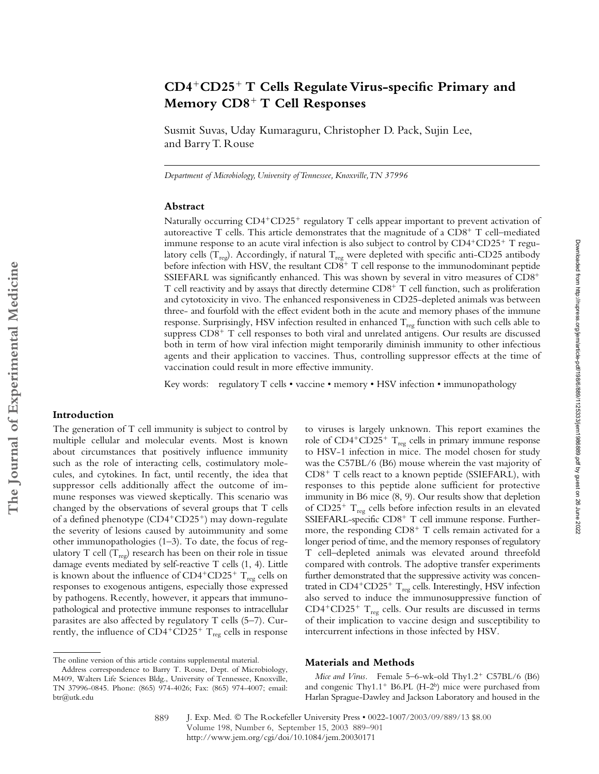# **CD4**-**CD25**- **T Cells Regulate Virus-specific Primary and Memory CD8**- **T Cell Responses**

Susmit Suvas, Uday Kumaraguru, Christopher D. Pack, Sujin Lee, and Barry T. Rouse

*Department of Microbiology, University of Tennessee, Knoxville, TN 37996*

### **Abstract**

Naturally occurring CD4<sup>+</sup>CD25<sup>+</sup> regulatory T cells appear important to prevent activation of autoreactive T cells. This article demonstrates that the magnitude of a  $CD8^+$  T cell–mediated immune response to an acute viral infection is also subject to control by  $CD4^+CD25^+$  T regulatory cells ( $T_{reg}$ ). Accordingly, if natural  $T_{reg}$  were depleted with specific anti-CD25 antibody before infection with HSV, the resultant  $CD\r 8^+$  T cell response to the immunodominant peptide SSIEFARL was significantly enhanced. This was shown by several in vitro measures of CD8- T cell reactivity and by assays that directly determine CD8<sup>+</sup> T cell function, such as proliferation and cytotoxicity in vivo. The enhanced responsiveness in CD25-depleted animals was between three- and fourfold with the effect evident both in the acute and memory phases of the immune response. Surprisingly, HSV infection resulted in enhanced  $T_{reg}$  function with such cells able to suppress CD8<sup>+</sup> T cell responses to both viral and unrelated antigens. Our results are discussed both in term of how viral infection might temporarily diminish immunity to other infectious agents and their application to vaccines. Thus, controlling suppressor effects at the time of vaccination could result in more effective immunity.

Key words: regulatory T cells • vaccine • memory • HSV infection • immunopathology

## **Introduction**

The generation of T cell immunity is subject to control by multiple cellular and molecular events. Most is known about circumstances that positively influence immunity such as the role of interacting cells, costimulatory molecules, and cytokines. In fact, until recently, the idea that suppressor cells additionally affect the outcome of immune responses was viewed skeptically. This scenario was changed by the observations of several groups that T cells of a defined phenotype (CD4<sup>+</sup>CD25<sup>+</sup>) may down-regulate the severity of lesions caused by autoimmunity and some other immunopathologies (1–3). To date, the focus of regulatory T cell  $(T_{reg})$  research has been on their role in tissue damage events mediated by self-reactive T cells (1, 4). Little is known about the influence of  $CD4^+CD25^+$   $\rm T_{reg}$  cells on responses to exogenous antigens, especially those expressed by pathogens. Recently, however, it appears that immunopathological and protective immune responses to intracellular parasites are also affected by regulatory T cells (5–7). Currently, the influence of  $CD4^+CD25^+$   $T_{reg}$  cells in response

#### **Materials and Methods**

Mice and Virus. Female 5-6-wk-old Thy1.2<sup>+</sup> C57BL/6 (B6) and congenic Thy1.1<sup>+</sup> B6.PL (H-2<sup>b</sup>) mice were purchased from Harlan Sprague-Dawley and Jackson Laboratory and housed in the

intercurrent infections in those infected by HSV.

to viruses is largely unknown. This report examines the role of CD4<sup>+</sup>CD25<sup>+</sup> T<sub>reg</sub> cells in primary immune response to HSV-1 infection in mice. The model chosen for study was the C57BL/6 (B6) mouse wherein the vast majority of CD8<sup>+</sup> T cells react to a known peptide (SSIEFARL), with responses to this peptide alone sufficient for protective immunity in B6 mice (8, 9). Our results show that depletion of CD25<sup>+</sup>  $T_{reg}$  cells before infection results in an elevated SSIEFARL-specific CD8<sup>+</sup> T cell immune response. Furthermore, the responding  $CD8<sup>+</sup>$  T cells remain activated for a longer period of time, and the memory responses of regulatory T cell–depleted animals was elevated around threefold compared with controls. The adoptive transfer experiments further demonstrated that the suppressive activity was concentrated in  $CD4^+CD25^+$  T<sub>reg</sub> cells. Interestingly, HSV infection also served to induce the immunosuppressive function of  $CD4^+CD25^+$  T<sub>reg</sub> cells. Our results are discussed in terms of their implication to vaccine design and susceptibility to

J. Exp. Med. The Rockefeller University Press • 0022-1007/2003/09/889/13 \$8.00 Volume 198, Number 6, September 15, 2003 889–901 http://www.jem.org/cgi/doi/10.1084/jem.20030171 889

The online version of this article contains supplemental material.

Address correspondence to Barry T. Rouse, Dept. of Microbiology, M409, Walters Life Sciences Bldg., University of Tennessee, Knoxville, TN 37996-0845. Phone: (865) 974-4026; Fax: (865) 974-4007; email: btr@utk.edu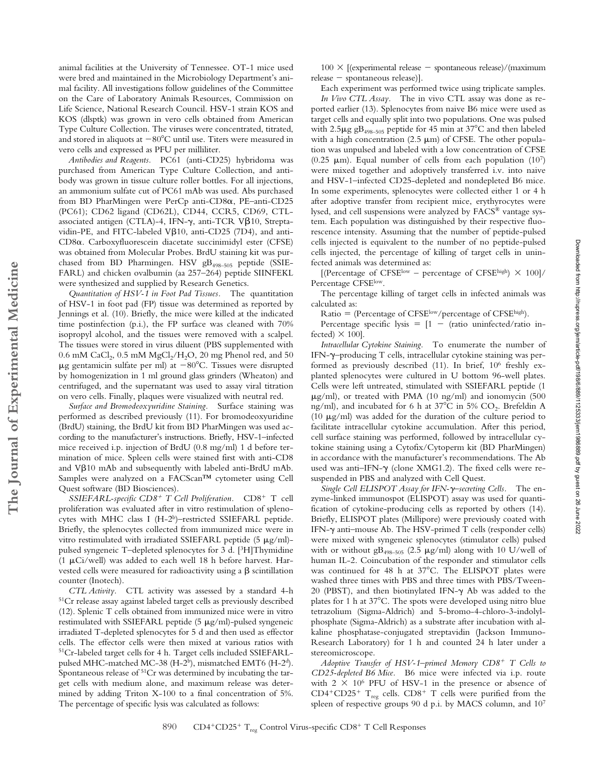animal facilities at the University of Tennessee. OT-1 mice used were bred and maintained in the Microbiology Department's animal facility. All investigations follow guidelines of the Committee on the Care of Laboratory Animals Resources, Commission on Life Science, National Research Council. HSV-1 strain KOS and KOS (dlsptk) was grown in vero cells obtained from American Type Culture Collection. The viruses were concentrated, titrated, and stored in aliquots at  $-80^{\circ}$ C until use. Titers were measured in vero cells and expressed as PFU per milliliter.

*Antibodies and Reagents.* PC61 (anti-CD25) hybridoma was purchased from American Type Culture Collection, and antibody was grown in tissue culture roller bottles. For all injections, an ammonium sulfate cut of PC61 mAb was used. Abs purchased from BD PharMingen were PerCp anti-CD8 $\alpha$ , PE-anti-CD25 (PC61); CD62 ligand (CD62L), CD44, CCR5, CD69, CTLassociated antigen (CTLA)-4, IFN- $\gamma$ , anti-TCR V $\beta$ 10, Streptavidin-PE, and FITC-labeled V $\beta$ 10, anti-CD25 (7D4), and anti-CD8. Carboxyfluorescein diacetate succinimidyl ester (CFSE) was obtained from Molecular Probes. BrdU staining kit was purchased from BD Pharmingen. HSV gB<sub>498-505</sub> peptide (SSIE-FARL) and chicken ovalbumin (aa 257–264) peptide SIINFEKL were synthesized and supplied by Research Genetics.

*Quantitation of HSV-1 in Foot Pad Tissues.* The quantitation of HSV-1 in foot pad (FP) tissue was determined as reported by Jennings et al. (10). Briefly, the mice were killed at the indicated time postinfection (p.i.), the FP surface was cleaned with 70% isopropyl alcohol, and the tissues were removed with a scalpel. The tissues were stored in virus diluent (PBS supplemented with 0.6 mM CaCl<sub>2</sub>, 0.5 mM MgCl<sub>2</sub>/H<sub>2</sub>O, 20 mg Phenol red, and 50  $\mu$ g gentamicin sulfate per ml) at  $-80^{\circ}$ C. Tissues were disrupted by homogenization in 1 ml ground glass grinders (Wheaton) and centrifuged, and the supernatant was used to assay viral titration on vero cells. Finally, plaques were visualized with neutral red.

*Surface and Bromodeoxyuridine Staining.* Surface staining was performed as described previously (11). For bromodeoxyuridine (BrdU) staining, the BrdU kit from BD PharMingen was used according to the manufacturer's instructions. Briefly, HSV-1–infected mice received i.p. injection of BrdU (0.8 mg/ml) 1 d before termination of mice. Spleen cells were stained first with anti-CD8 and V $\beta$ 10 mAb and subsequently with labeled anti-BrdU mAb. Samples were analyzed on a FACScan™ cytometer using Cell Quest software (BD Biosciences).

SSIEFARL-specific CD8<sup>+</sup> T Cell Proliferation. CD8<sup>+</sup> T cell proliferation was evaluated after in vitro restimulation of splenocytes with MHC class I (H-2b)–restricted SSIEFARL peptide. Briefly, the splenocytes collected from immunized mice were in vitro restimulated with irradiated SSIEFARL peptide  $(5 \mu g/ml)$ pulsed syngeneic T–depleted splenocytes for 3 d. [3H]Thymidine (1  $\mu$ Ci/well) was added to each well 18 h before harvest. Harvested cells were measured for radioactivity using a  $\beta$  scintillation counter (Inotech).

*CTL Activity.* CTL activity was assessed by a standard 4-h 51Cr release assay against labeled target cells as previously described (12). Splenic T cells obtained from immunized mice were in vitro restimulated with SSIEFARL peptide  $(5 \mu g/ml)$ -pulsed syngeneic irradiated T-depleted splenocytes for 5 d and then used as effector cells. The effector cells were then mixed at various ratios with 51Cr-labeled target cells for 4 h. Target cells included SSIEFARLpulsed MHC-matched MC-38 (H-2b), mismatched EMT6 (H-2d). Spontaneous release of 51Cr was determined by incubating the target cells with medium alone, and maximum release was determined by adding Triton X-100 to a final concentration of 5%. The percentage of specific lysis was calculated as follows:

 $100 \times$  [(experimental release - spontaneous release)/(maximum  $release - spontaneous release)$ ].

Each experiment was performed twice using triplicate samples. *In Vivo CTL Assay.* The in vivo CTL assay was done as reported earlier (13). Splenocytes from naive B6 mice were used as target cells and equally split into two populations. One was pulsed with  $2.5\mu$ g gB<sub>498–505</sub> peptide for 45 min at 37°C and then labeled with a high concentration  $(2.5 \mu m)$  of CFSE. The other population was unpulsed and labeled with a low concentration of CFSE (0.25  $\mu$ m). Equal number of cells from each population (107) were mixed together and adoptively transferred i.v. into naive and HSV-1–infected CD25-depleted and nondepleted B6 mice. In some experiments, splenocytes were collected either 1 or 4 h after adoptive transfer from recipient mice, erythyrocytes were lysed, and cell suspensions were analyzed by FACS® vantage system. Each population was distinguished by their respective fluorescence intensity. Assuming that the number of peptide-pulsed cells injected is equivalent to the number of no peptide-pulsed cells injected, the percentage of killing of target cells in uninfected animals was determined as:

[(Percentage of CFSE<sup>low</sup> – percentage of CFSE<sup>high</sup>)  $\times$  100]/ Percentage CFSElow.

The percentage killing of target cells in infected animals was calculated as:

Ratio = (Percentage of CFSElow/percentage of CFSEhigh).

Percentage specific lysis =  $[1 -$  (ratio uninfected/ratio infected)  $\times$  100].

*Intracellular Cytokine Staining.* To enumerate the number of IFN-–producing T cells, intracellular cytokine staining was performed as previously described (11). In brief, 106 freshly explanted splenocytes were cultured in U bottom 96-well plates. Cells were left untreated, stimulated with SSIEFARL peptide (1  $\mu$ g/ml), or treated with PMA (10 ng/ml) and ionomycin (500 ng/ml), and incubated for 6 h at  $37^{\circ}$ C in 5% CO<sub>2</sub>. Brefeldin A (10  $\mu$ g/ml) was added for the duration of the culture period to facilitate intracellular cytokine accumulation. After this period, cell surface staining was performed, followed by intracellular cytokine staining using a Cytofix/Cytoperm kit (BD PharMingen) in accordance with the manufacturer's recommendations. The Ab used was anti-IFN- $\gamma$  (clone XMG1.2). The fixed cells were resuspended in PBS and analyzed with Cell Quest.

*Single Cell ELISPOT Assay for IFN-–secreting Cells.* The enzyme-linked immunospot (ELISPOT) assay was used for quantification of cytokine-producing cells as reported by others (14). Briefly, ELISPOT plates (Millipore) were previously coated with IFN- $\gamma$  anti-mouse Ab. The HSV-primed T cells (responder cells) were mixed with syngeneic splenocytes (stimulator cells) pulsed with or without  $g_{498-505}$  (2.5  $\mu$ g/ml) along with 10 U/well of human IL-2. Coincubation of the responder and stimulator cells was continued for 48 h at 37°C. The ELISPOT plates were washed three times with PBS and three times with PBS/Tween-20 (PBST), and then biotinylated IFN- $\gamma$  Ab was added to the plates for 1 h at 37°C. The spots were developed using nitro blue tetrazolium (Sigma-Aldrich) and 5-bromo-4-chloro-3-indolylphosphate (Sigma-Aldrich) as a substrate after incubation with alkaline phosphatase-conjugated streptavidin (Jackson Immuno-Research Laboratory) for 1 h and counted 24 h later under a stereomicroscope.

*Adoptive Transfer of HSV-1–primed Memory CD8*- *T Cells to CD25-depleted B6 Mice.* B6 mice were infected via i.p. route with  $2 \times 10^6$  PFU of HSV-1 in the presence or absence of CD4<sup>+</sup>CD25<sup>+</sup> T<sub>reg</sub> cells. CD8<sup>+</sup> T cells were purified from the spleen of respective groups 90 d p.i. by MACS column, and 107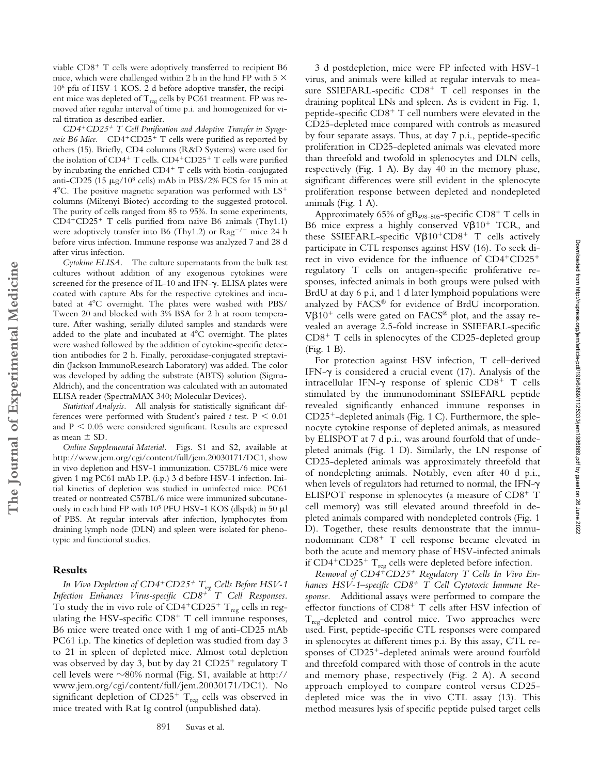*CD4*-*CD25*- *T Cell Purification and Adoptive Transfer in Synge*neic B6 Mice. CD4<sup>+</sup>CD25<sup>+</sup> T cells were purified as reported by others (15). Briefly, CD4 columns (R&D Systems) were used for the isolation of CD4<sup>+</sup> T cells. CD4<sup>+</sup>CD25<sup>+</sup> T cells were purified by incubating the enriched CD4<sup>+</sup> T cells with biotin-conjugated anti-CD25 (15  $\mu$ g/10<sup>8</sup> cells) mAb in PBS/2% FCS for 15 min at  $4^{\circ}$ C. The positive magnetic separation was performed with LS<sup>+</sup> columns (Miltenyi Biotec) according to the suggested protocol. The purity of cells ranged from 85 to 95%. In some experiments, CD4-CD25- T cells purified from naive B6 animals (Thy1.1) were adoptively transfer into B6 (Thy1.2) or  $\text{Rag}^{-/-}$  mice 24 h before virus infection. Immune response was analyzed 7 and 28 d after virus infection.

*Cytokine ELISA.* The culture supernatants from the bulk test cultures without addition of any exogenous cytokines were screened for the presence of IL-10 and IFN-y. ELISA plates were coated with capture Abs for the respective cytokines and incubated at 4°C overnight. The plates were washed with PBS/ Tween 20 and blocked with 3% BSA for 2 h at room temperature. After washing, serially diluted samples and standards were added to the plate and incubated at  $4^{\circ}$ C overnight. The plates were washed followed by the addition of cytokine-specific detection antibodies for 2 h. Finally, peroxidase-conjugated streptavidin (Jackson ImmunoResearch Laboratory) was added. The color was developed by adding the substrate (ABTS) solution (Sigma-Aldrich), and the concentration was calculated with an automated ELISA reader (SpectraMAX 340; Molecular Devices).

*Statistical Analysis.* All analysis for statistically significant differences were performed with Student's paired  $t$  test.  $P < 0.01$ and  $P < 0.05$  were considered significant. Results are expressed as mean  $\pm$  SD.

*Online Supplemental Material.* Figs. S1 and S2, available at http://www.jem.org/cgi/content/full/jem.20030171/DC1, show in vivo depletion and HSV-1 immunization. C57BL/6 mice were given 1 mg PC61 mAb I.P. (i.p.) 3 d before HSV-1 infection. Initial kinetics of depletion was studied in uninfected mice. PC61 treated or nontreated C57BL/6 mice were immunized subcutaneously in each hind FP with  $10^5$  PFU HSV-1 KOS (dlsptk) in 50  $\mu$ l of PBS. At regular intervals after infection, lymphocytes from draining lymph node (DLN) and spleen were isolated for phenotypic and functional studies.

# **Results**

**The Journal of Experimental Medicine**

The Journal of Experimental Medicine

*In Vivo Depletion of CD4<sup>+</sup>CD25<sup>+</sup> T<sub>reg</sub> Cells Before HSV-1 Infection Enhances Virus-specific CD8*- *T Cell Responses.* To study the in vivo role of  $CD4^+CD25^+$  T<sub>reg</sub> cells in regulating the HSV-specific  $CD8<sup>+</sup>$  T cell immune responses, B6 mice were treated once with 1 mg of anti-CD25 mAb PC61 i.p. The kinetics of depletion was studied from day 3 to 21 in spleen of depleted mice. Almost total depletion was observed by day 3, but by day 21 CD25<sup>+</sup> regulatory T cell levels were ~80% normal (Fig. S1, available at http:// www.jem.org/cgi/content/full/jem.20030171/DC1). No significant depletion of  $CD25^+$  T<sub>reg</sub> cells was observed in mice treated with Rat Ig control (unpublished data).

3 d postdepletion, mice were FP infected with HSV-1 virus, and animals were killed at regular intervals to measure SSIEFARL-specific CD8<sup>+</sup> T cell responses in the draining popliteal LNs and spleen. As is evident in Fig. 1, peptide-specific CD8<sup>+</sup> T cell numbers were elevated in the CD25-depleted mice compared with controls as measured by four separate assays. Thus, at day 7 p.i., peptide-specific proliferation in CD25-depleted animals was elevated more than threefold and twofold in splenocytes and DLN cells, respectively (Fig. 1 A). By day 40 in the memory phase, significant differences were still evident in the splenocyte proliferation response between depleted and nondepleted animals (Fig. 1 A).

Approximately 65% of gB<sub>498-505</sub>-specific CD8<sup>+</sup> T cells in B6 mice express a highly conserved  $V\beta 10^+$  TCR, and these SSIEFARL-specific  $V\beta 10^+ C D 8^+$  T cells actively participate in CTL responses against HSV (16). To seek direct in vivo evidence for the influence of CD4<sup>+</sup>CD25<sup>+</sup> regulatory T cells on antigen-specific proliferative responses, infected animals in both groups were pulsed with BrdU at day 6 p.i, and 1 d later lymphoid populations were analyzed by FACS® for evidence of BrdU incorporation. V $\beta$ 10<sup>+</sup> cells were gated on FACS® plot, and the assay revealed an average 2.5-fold increase in SSIEFARL-specific CD8<sup>+</sup> T cells in splenocytes of the CD25-depleted group (Fig. 1 B).

For protection against HSV infection, T cell–derived IFN- $\gamma$  is considered a crucial event (17). Analysis of the intracellular IFN- $\gamma$  response of splenic  $CD8^+$  T cells stimulated by the immunodominant SSIEFARL peptide revealed significantly enhanced immune responses in CD25--depleted animals (Fig. 1 C). Furthermore, the splenocyte cytokine response of depleted animals, as measured by ELISPOT at 7 d p.i., was around fourfold that of undepleted animals (Fig. 1 D). Similarly, the LN response of CD25-depleted animals was approximately threefold that of nondepleting animals. Notably, even after 40 d p.i., when levels of regulators had returned to normal, the IFN- $\gamma$ ELISPOT response in splenocytes (a measure of CD8<sup>+</sup> T cell memory) was still elevated around threefold in depleted animals compared with nondepleted controls (Fig. 1 D). Together, these results demonstrate that the immunodominant CD8- T cell response became elevated in both the acute and memory phase of HSV-infected animals if  $CD4^+CD25^+$  T<sub>reg</sub> cells were depleted before infection.

*Removal of CD4*-*CD25*- *Regulatory T Cells In Vivo Enhances HSV-1–specific CD8*- *T Cell Cytotoxic Immune Response.* Additional assays were performed to compare the effector functions of CD8<sup>+</sup> T cells after HSV infection of  $T_{\text{rec}}$ -depleted and control mice. Two approaches were used. First, peptide-specific CTL responses were compared in splenocytes at different times p.i. By this assay, CTL responses of CD25--depleted animals were around fourfold and threefold compared with those of controls in the acute and memory phase, respectively (Fig. 2 A). A second approach employed to compare control versus CD25 depleted mice was the in vivo CTL assay (13). This method measures lysis of specific peptide pulsed target cells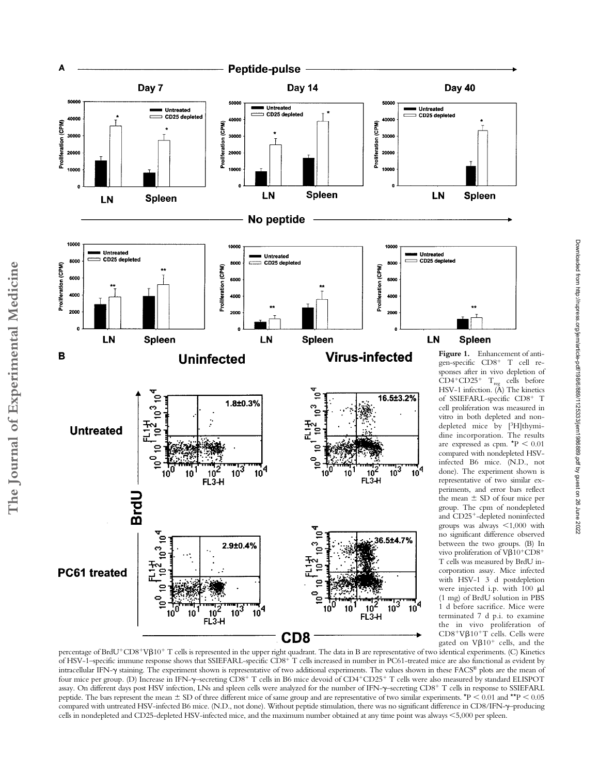

**The Journal of Experimental Medicine**

The Journal of Experimental Medicine

percentage of BrdU<sup>+</sup>CD8<sup>+</sup>Vβ10<sup>+</sup> T cells is represented in the upper right quadrant. The data in B are representative of two identical experiments. (C) Kinetics of HSV-1-specific immune response shows that SSIEFARL-specific CD8<sup>+</sup> T cells increased in number in PC61-treated mice are also functional as evident by intracellular IFN- $\gamma$  staining. The experiment shown is representative of two additional experiments. The values shown in these FACS® plots are the mean of four mice per group. (D) Increase in IFN- $\gamma$ -secreting CD8<sup>+</sup> T cells in B6 mice devoid of CD4<sup>+</sup>CD25<sup>+</sup> T cells were also measured by standard ELISPOT assay. On different days post HSV infection, LNs and spleen cells were analyzed for the number of IFN- $\gamma$ -secreting CD8<sup>+</sup> T cells in response to SSIEFARL peptide. The bars represent the mean  $\pm$  SD of three different mice of same group and are representative of two similar experiments. \*P < 0.01 and \*\*P < 0.05 compared with untreated HSV-infected B6 mice. (N.D., not done). Without peptide stimulation, there was no significant difference in CD8/IFN- $\gamma$ -producing cells in nondepleted and CD25-depleted HSV-infected mice, and the maximum number obtained at any time point was always 5,000 per spleen.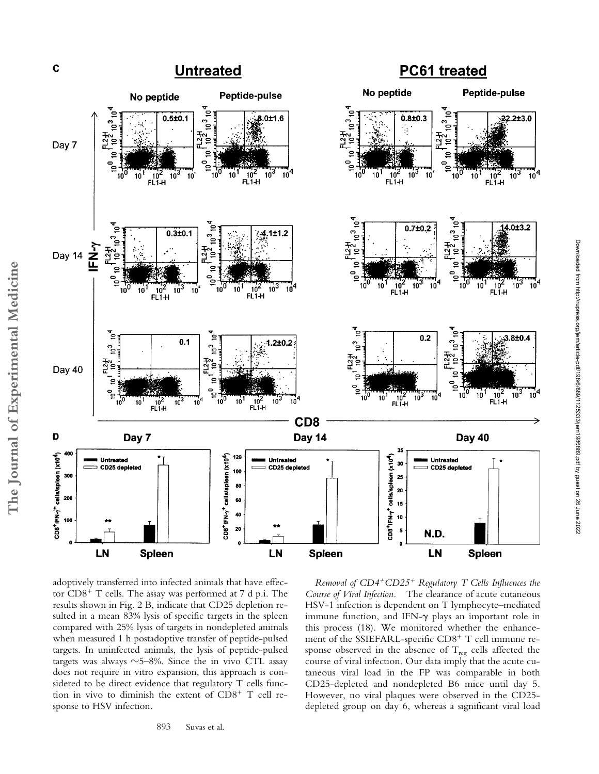

adoptively transferred into infected animals that have effector CD8<sup>+</sup> T cells. The assay was performed at 7 d p.i. The results shown in Fig. 2 B, indicate that CD25 depletion resulted in a mean 83% lysis of specific targets in the spleen compared with 25% lysis of targets in nondepleted animals when measured 1 h postadoptive transfer of peptide-pulsed targets. In uninfected animals, the lysis of peptide-pulsed targets was always  $\sim$  5–8%. Since the in vivo CTL assay does not require in vitro expansion, this approach is considered to be direct evidence that regulatory T cells function in vivo to diminish the extent of CD8<sup>+</sup> T cell response to HSV infection.

*Removal of CD4*-*CD25*- *Regulatory T Cells Influences the Course of Viral Infection.* The clearance of acute cutaneous HSV-1 infection is dependent on T lymphocyte–mediated immune function, and IFN- $\gamma$  plays an important role in this process (18). We monitored whether the enhancement of the SSIEFARL-specific CD8<sup>+</sup> T cell immune response observed in the absence of  $\mathrm{T_{reg}}$  cells affected the course of viral infection. Our data imply that the acute cutaneous viral load in the FP was comparable in both CD25-depleted and nondepleted B6 mice until day 5. However, no viral plaques were observed in the CD25 depleted group on day 6, whereas a significant viral load Downloaded from http://rupress.org/jem/article-pdf/198/6/889/1125333/jem1986889.pdf by guest on 26 June 2022

Downloaded from http://rupress.org/jem/article-pdf/198/6/889/1125333/jem1986889.pdf by guest on 26 June 2022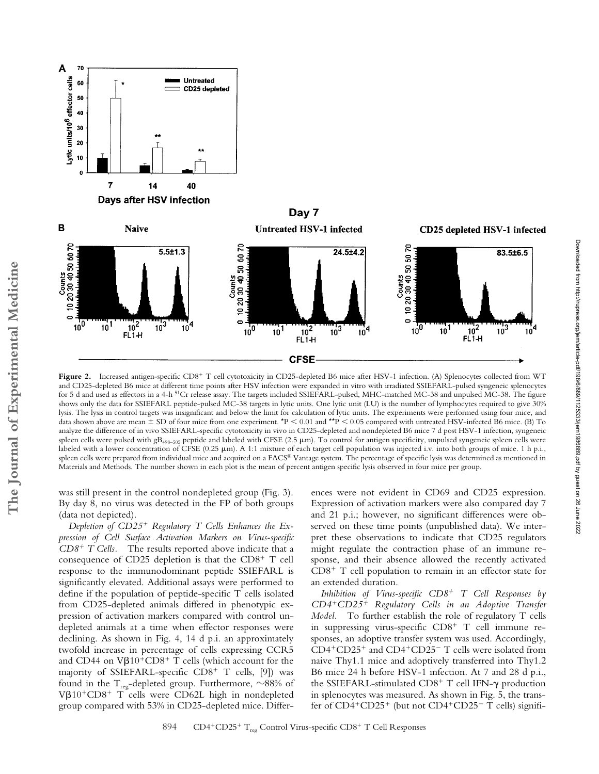

Figure 2. Increased antigen-specific CD8<sup>+</sup> T cell cytotoxicity in CD25-depleted B6 mice after HSV-1 infection. (A) Splenocytes collected from WT and CD25-depleted B6 mice at different time points after HSV infection were expanded in vitro with irradiated SSIEFARL-pulsed syngeneic splenocytes for 5 d and used as effectors in a 4-h <sup>51</sup>Cr release assay. The targets included SSIEFARL-pulsed, MHC-matched MC-38 and unpulsed MC-38. The figure shows only the data for SSIEFARL peptide-pulsed MC-38 targets in lytic units. One lytic unit (LU) is the number of lymphocytes required to give 30% lysis. The lysis in control targets was insignificant and below the limit for calculation of lytic units. The experiments were performed using four mice, and data shown above are mean  $\pm$  SD of four mice from one experiment. \*P < 0.01 and \*\*P < 0.05 compared with untreated HSV-infected B6 mice. (B) To analyze the difference of in vivo SSIEFARL-specific cytotoxicity in vivo in CD25-depleted and nondepleted B6 mice 7 d post HSV-1 infection, syngeneic spleen cells were pulsed with gB<sub>498-505</sub> peptide and labeled with CFSE (2.5  $\mu$ m). To control for antigen specificity, unpulsed syngeneic spleen cells were labeled with a lower concentration of CFSE (0.25  $\mu$ m). A 1:1 mixture of each target cell population was injected i.v. into both groups of mice. 1 h p.i., spleen cells were prepared from individual mice and acquired on a FACS® Vantage system. The percentage of specific lysis was determined as mentioned in Materials and Methods. The number shown in each plot is the mean of percent antigen specific lysis observed in four mice per group.

was still present in the control nondepleted group (Fig. 3). By day 8, no virus was detected in the FP of both groups (data not depicted).

*Depletion of CD25*- *Regulatory T Cells Enhances the Expression of Cell Surface Activation Markers on Virus-specific CD8*- *T Cells.* The results reported above indicate that a consequence of CD25 depletion is that the  $CD8<sup>+</sup>$  T cell response to the immunodominant peptide SSIEFARL is significantly elevated. Additional assays were performed to define if the population of peptide-specific T cells isolated from CD25-depleted animals differed in phenotypic expression of activation markers compared with control undepleted animals at a time when effector responses were declining. As shown in Fig. 4, 14 d p.i. an approximately twofold increase in percentage of cells expressing CCR5 and CD44 on  $V\beta 10^+$ CD8<sup>+</sup> T cells (which account for the majority of SSIEFARL-specific CD8<sup>+</sup> T cells, [9]) was found in the  $\rm T_{reg}$ -depleted group. Furthermore,  $\sim$ 88% of V $\beta$ 10<sup>+</sup>CD8<sup>+</sup> T cells were CD62L high in nondepleted group compared with 53% in CD25-depleted mice. Differences were not evident in CD69 and CD25 expression. Expression of activation markers were also compared day 7 and 21 p.i.; however, no significant differences were observed on these time points (unpublished data). We interpret these observations to indicate that CD25 regulators might regulate the contraction phase of an immune response, and their absence allowed the recently activated  $CD8<sup>+</sup>$  T cell population to remain in an effector state for an extended duration.

*Inhibition of Virus-specific CD8*- *T Cell Responses by CD4*-*CD25*- *Regulatory Cells in an Adoptive Transfer Model.* To further establish the role of regulatory T cells in suppressing virus-specific CD8<sup>+</sup> T cell immune responses, an adoptive transfer system was used. Accordingly, CD4<sup>+</sup>CD25<sup>+</sup> and CD4<sup>+</sup>CD25<sup>-</sup> T cells were isolated from naive Thy1.1 mice and adoptively transferred into Thy1.2 B6 mice 24 h before HSV-1 infection. At 7 and 28 d p.i., the SSIEFARL-stimulated CD8<sup>+</sup> T cell IFN-y production in splenocytes was measured. As shown in Fig. 5, the transfer of CD4<sup>+</sup>CD25<sup>+</sup> (but not CD4<sup>+</sup>CD25<sup>-</sup> T cells) signifiDownloaded from http://rupress.org/jem/article-pdf/198/6/889/1125333/jem1986889.pdf by guest on 26 June 2022

Downloaded from http://rupress.org/jem/article-pdf/198/6/889/1125333/jem1986889.pdf by guest on 26 June 2022

A 70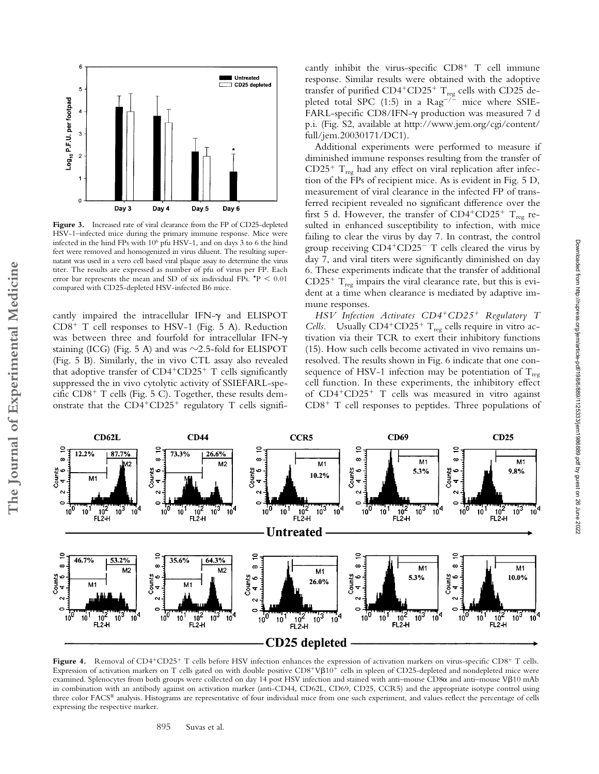

Figure 3. Increased rate of viral clearance from the FP of CD25-depleted HSV-1–infected mice during the primary immune response. Mice were infected in the hind FPs with 106 pfu HSV-1, and on days 3 to 6 the hind feet were removed and homogenized in virus diluent. The resulting supernatant was used in a vero cell based viral plaque assay to determine the virus titer. The results are expressed as number of pfu of virus per FP. Each error bar represents the mean and SD of six individual FPs.  $*P < 0.01$ compared with CD25-depleted HSV-infected B6 mice.

cantly impaired the intracellular IFN- $\gamma$  and ELISPOT CD8- T cell responses to HSV-1 (Fig. 5 A). Reduction was between three and fourfold for intracellular IFN- $\gamma$ staining (ICG) (Fig. 5 A) and was  $\sim$ 2.5-fold for ELISPOT (Fig. 5 B). Similarly, the in vivo CTL assay also revealed that adoptive transfer of CD4<sup>+</sup>CD25<sup>+</sup> T cells significantly suppressed the in vivo cytolytic activity of SSIEFARL-specific CD8<sup>+</sup> T cells (Fig. 5 C). Together, these results demonstrate that the  $CD4+CD25+$  regulatory T cells signifi-

**The Journal of Experimental Medicine**

The Journal of Experimental Medicine

cantly inhibit the virus-specific  $CD8<sup>+</sup>$  T cell immune response. Similar results were obtained with the adoptive transfer of purified  $CD4^+CD25^+$   $T_{reg}$  cells with CD25 depleted total SPC (1:5) in a  $\text{Rag}^{-1/2}$  mice where SSIE-FARL-specific CD8/IFN- $\gamma$  production was measured 7 d p.i. (Fig. S2, available at http://www.jem.org/cgi/content/ full/jem.20030171/DC1).

Additional experiments were performed to measure if diminished immune responses resulting from the transfer of  $CD25^+$   $T_{reg}$  had any effect on viral replication after infection of the FPs of recipient mice. As is evident in Fig. 5 D, measurement of viral clearance in the infected FP of transferred recipient revealed no significant difference over the first 5 d. However, the transfer of  $CD4^+CD25^+$  T<sub>reg</sub> resulted in enhanced susceptibility to infection, with mice failing to clear the virus by day 7. In contrast, the control group receiving CD4<sup>+</sup>CD25<sup>-</sup> T cells cleared the virus by day 7, and viral titers were significantly diminished on day 6. These experiments indicate that the transfer of additional  $CD25^+$   $T_{reg}$  impairs the viral clearance rate, but this is evident at a time when clearance is mediated by adaptive immune responses.

*HSV Infection Activates CD4*-*CD25*- *Regulatory T Cells.* Usually  $CD4+CD25+T_{reg}$  cells require in vitro activation via their TCR to exert their inhibitory functions (15). How such cells become activated in vivo remains unresolved. The results shown in Fig. 6 indicate that one consequence of HSV-1 infection may be potentiation of  $T_{\text{reg}}$ cell function. In these experiments, the inhibitory effect of CD4<sup>+</sup>CD25<sup>+</sup> T cells was measured in vitro against CD8<sup>+</sup> T cell responses to peptides. Three populations of



Figure 4. Removal of CD4<sup>+</sup>CD25<sup>+</sup> T cells before HSV infection enhances the expression of activation markers on virus-specific CD8<sup>+</sup> T cells. Expression of activation markers on T cells gated on with double positive  $CD8^+V\beta10^+$  cells in spleen of CD25-depleted and nondepleted mice were examined. Splenocytes from both groups were collected on day 14 post HSV infection and stained with anti-mouse CD8 $\alpha$  and anti-mouse V $\beta$ 10 mAb in combination with an antibody against on activation marker (anti-CD44, CD62L, CD69, CD25, CCR5) and the appropriate isotype control using three color FACS® analysis. Histograms are representative of four individual mice from one such experiment, and values reflect the percentage of cells expressing the respective marker.

895 Suvas et al.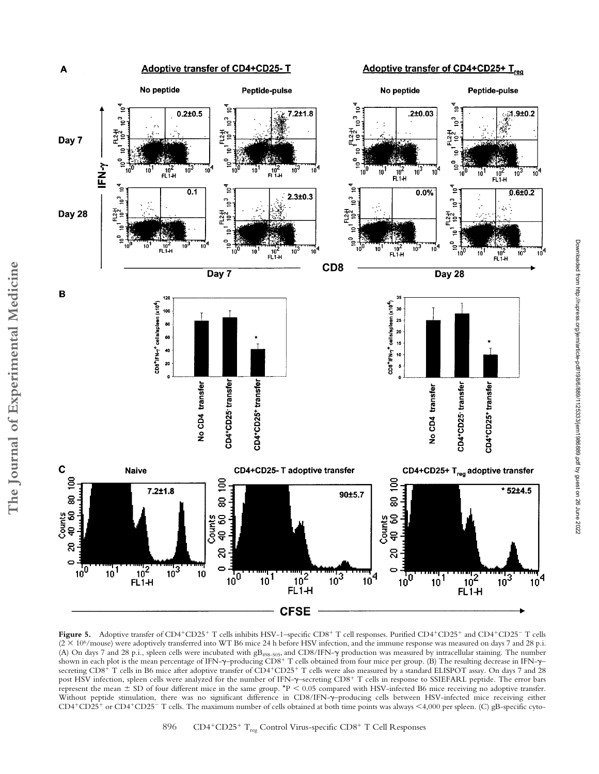

Figure 5. Adoptive transfer of CD4<sup>+</sup>CD25<sup>+</sup> T cells inhibits HSV-1–specific CD8<sup>+</sup> T cell responses. Purified CD4<sup>+</sup>CD25<sup>+</sup> and CD4<sup>+</sup>CD25<sup>-</sup> T cells  $(2 \times 10^6$ /mouse) were adoptively transferred into WT B6 mice 24 h before HSV infection, and the immune response was measured on days 7 and 28 p.i. (A) On days 7 and 28 p.i., spleen cells were incubated with  $gB_{498-505}$ , and CD8/IFN- $\gamma$  production was measured by intracellular staining. The number shown in each plot is the mean percentage of IFN- $\gamma$ –producing CD8<sup>+</sup> T cells obtained from four mice per group. (B) The resulting decrease in IFN- $\gamma$ – secreting CD8<sup>+</sup> T cells in B6 mice after adoptive transfer of CD4<sup>+</sup>CD25<sup>+</sup> T cells were also measured by a standard ELISPOT assay. On days 7 and 28 post HSV infection, spleen cells were analyzed for the number of IFN- $\gamma$ –secreting CD8<sup>+</sup> T cells in response to SSIEFARL peptide. The error bars represent the mean  $\pm$  SD of four different mice in the same group. \*P < 0.05 compared with HSV-infected B6 mice receiving no adoptive transfer. Without peptide stimulation, there was no significant difference in CD8/IFN- $\gamma$ -producing cells between HSV-infected mice receiving either CD4+CD25+ or CD4+CD25- T cells. The maximum number of cells obtained at both time points was always <4,000 per spleen. (C) gB-specific cyto-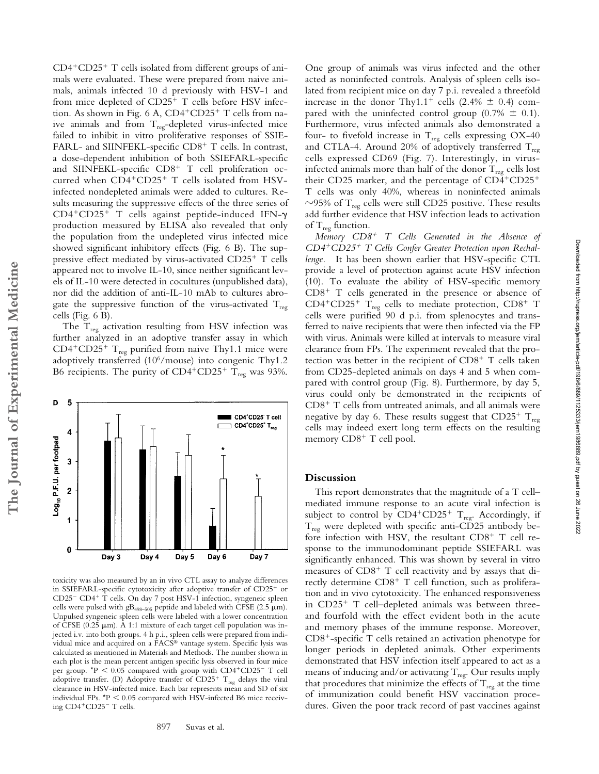CD4-CD25- T cells isolated from different groups of animals were evaluated. These were prepared from naive animals, animals infected 10 d previously with HSV-1 and from mice depleted of CD25<sup>+</sup> T cells before HSV infection. As shown in Fig. 6 A, CD4<sup>+</sup>CD25<sup>+</sup> T cells from naive animals and from  $T_{\text{reg}}$ -depleted virus-infected mice failed to inhibit in vitro proliferative responses of SSIE-FARL- and SIINFEKL-specific CD8<sup>+</sup> T cells. In contrast, a dose-dependent inhibition of both SSIEFARL-specific and SIINFEKL-specific CD8<sup>+</sup> T cell proliferation occurred when CD4<sup>+</sup>CD25<sup>+</sup> T cells isolated from HSVinfected nondepleted animals were added to cultures. Results measuring the suppressive effects of the three series of CD4+CD25+ T cells against peptide-induced IFN- $\gamma$ production measured by ELISA also revealed that only the population from the undepleted virus infected mice showed significant inhibitory effects (Fig. 6 B). The suppressive effect mediated by virus-activated CD25<sup>+</sup> T cells appeared not to involve IL-10, since neither significant levels of IL-10 were detected in cocultures (unpublished data), nor did the addition of anti-IL-10 mAb to cultures abrogate the suppressive function of the virus-activated  $T_{\text{reg}}$ cells (Fig. 6 B).

The  $T_{reg}$  activation resulting from HSV infection was further analyzed in an adoptive transfer assay in which  $CD4+CD25+$  T<sub>reg</sub> purified from naive Thy1.1 mice were adoptively transferred (10<sup>6</sup>/mouse) into congenic Thy1.2 B6 recipients. The purity of  $CD4^+CD25^+$  T<sub>reg</sub> was 93%.



toxicity was also measured by an in vivo CTL assay to analyze differences in SSIEFARL-specific cytotoxicity after adoptive transfer of CD25<sup>+</sup> or CD25<sup>-</sup> CD4<sup>+</sup> T cells. On day 7 post HSV-1 infection, syngeneic spleen cells were pulsed with gB<sub>498–505</sub> peptide and labeled with CFSE (2.5  $\mu$ m). Unpulsed syngeneic spleen cells were labeled with a lower concentration of CFSE (0.25  $\mu$ m). A 1:1 mixture of each target cell population was injected i.v. into both groups. 4 h p.i., spleen cells were prepared from individual mice and acquired on a FACS® vantage system. Specific lysis was calculated as mentioned in Materials and Methods. The number shown in each plot is the mean percent antigen specific lysis observed in four mice per group.  $*P < 0.05$  compared with group with  $CD4+CD25^-$  T cell adoptive transfer. (D) Adoptive transfer of  $CD25^+$   $T_{reg}$  delays the viral clearance in HSV-infected mice. Each bar represents mean and SD of six individual FPs.  $*P < 0.05$  compared with HSV-infected B6 mice receiving CD4+CD25<sup>-</sup> T cells.

One group of animals was virus infected and the other acted as noninfected controls. Analysis of spleen cells isolated from recipient mice on day 7 p.i. revealed a threefold increase in the donor Thy1.1<sup>+</sup> cells (2.4%  $\pm$  0.4) compared with the uninfected control group (0.7%  $\pm$  0.1). Furthermore, virus infected animals also demonstrated a four- to fivefold increase in  $T_{reg}$  cells expressing OX-40 and CTLA-4. Around 20% of adoptively transferred  $T_{\text{reg}}$ cells expressed CD69 (Fig. 7). Interestingly, in virusinfected animals more than half of the donor  $T_{reg}$  cells lost their CD25 marker, and the percentage of CD4+CD25+ T cells was only 40%, whereas in noninfected animals  $\sim$ 95% of T<sub>reg</sub> cells were still CD25 positive. These results add further evidence that HSV infection leads to activation of  $T_{reg}$  function.

*Memory CD8*- *T Cells Generated in the Absence of CD4*-*CD25*- *T Cells Confer Greater Protection upon Rechallenge.* It has been shown earlier that HSV-specific CTL provide a level of protection against acute HSV infection (10). To evaluate the ability of HSV-specific memory CD8- T cells generated in the presence or absence of  $CD4^+CD25^+$  T<sub>reg</sub> cells to mediate protection,  $CD8^+$  T cells were purified 90 d p.i. from splenocytes and transferred to naive recipients that were then infected via the FP with virus. Animals were killed at intervals to measure viral clearance from FPs. The experiment revealed that the protection was better in the recipient of  $CD8<sup>+</sup>$  T cells taken from CD25-depleted animals on days 4 and 5 when compared with control group (Fig. 8). Furthermore, by day 5, virus could only be demonstrated in the recipients of CD8- T cells from untreated animals, and all animals were negative by day 6. These results suggest that  $CD25^+$   $T_{reg}$ cells may indeed exert long term effects on the resulting memory CD8<sup>+</sup> T cell pool.

## **Discussion**

This report demonstrates that the magnitude of a T cell– mediated immune response to an acute viral infection is subject to control by  $CD4^+CD25^+$   $T_{\text{reg}}$ . Accordingly, if  $T_{reg}$  were depleted with specific anti-CD25 antibody before infection with HSV, the resultant CD8<sup>+</sup> T cell response to the immunodominant peptide SSIEFARL was significantly enhanced. This was shown by several in vitro measures of CD8<sup>+</sup> T cell reactivity and by assays that directly determine CD8<sup>+</sup> T cell function, such as proliferation and in vivo cytotoxicity. The enhanced responsiveness in CD25<sup>+</sup> T cell-depleted animals was between threeand fourfold with the effect evident both in the acute and memory phases of the immune response. Moreover, CD8--specific T cells retained an activation phenotype for longer periods in depleted animals. Other experiments demonstrated that HSV infection itself appeared to act as a means of inducing and/or activating  $T_{reg}$ . Our results imply that procedures that minimize the effects of  $T_{reg}$  at the time of immunization could benefit HSV vaccination procedures. Given the poor track record of past vaccines against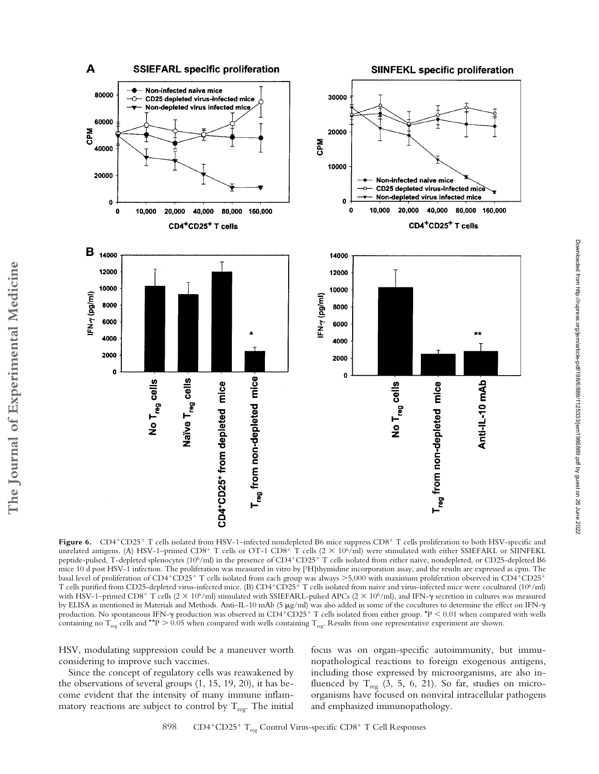

Figure 6. CD4<sup>+</sup>CD25<sup>+</sup> T cells isolated from HSV-1–infected nondepleted B6 mice suppress CD8<sup>+</sup> T cells proliferation to both HSV-specific and unrelated antigens. (A) HSV-1–primed CD8+ T cells or OT-1 CD8+ T cells (2  $\times$  10%/ml) were stimulated with either SSIEFARL or SIINFEKL peptide-pulsed, T-depleted splenocytes (10<sup>6</sup>/ml) in the presence of CD4<sup>+</sup>CD25<sup>+</sup> T cells isolated from either naive, nondepleted, or CD25-depleted B6 mice 10 d post HSV-1 infection. The proliferation was measured in vitro by [3H]thymidine incorporation assay, and the results are expressed as cpm. The basal level of proliferation of CD4+CD25+ T cells isolated from each group was always >5,000 with maximum proliferation observed in CD4+CD25+<br>T cells purified from CD25-depleted virus-infected mice. (B) CD4+CD25+ T cells i with HSV-1–primed CD8<sup>+</sup> T cells (2 × 10<sup>6</sup>/ml) stimulated with SSIEFARL-pulsed APCs (2 × 10<sup>6</sup>/ml), and IFN- $\gamma$  secretion in cultures was measured by ELISA as mentioned in Materials and Methods. Anti–IL-10 mAb (5 µg/ml) was also added in some of the cocultures to determine the effect on IFN- $\gamma$ production. No spontaneous IFN- $\gamma$  production was observed in CD4+CD25+ T cells isolated from either group. \*P  $<$  0.01 when compared with wells containing no T<sub>reg</sub> cells and \*\*P  $> 0.05$  when compared with wells containing T<sub>reg</sub>. Results from one representative experiment are shown.

HSV, modulating suppression could be a maneuver worth considering to improve such vaccines.

**The Journal of Experimental Medicine**

The Journal of Experimental Medicine

Since the concept of regulatory cells was reawakened by the observations of several groups (1, 15, 19, 20), it has become evident that the intensity of many immune inflammatory reactions are subject to control by  $T_{\text{reg}}$ . The initial focus was on organ-specific autoimmunity, but immunopathological reactions to foreign exogenous antigens, including those expressed by microorganisms, are also influenced by  $T_{reg}$  (3, 5, 6, 21). So far, studies on microorganisms have focused on nonviral intracellular pathogens and emphasized immunopathology.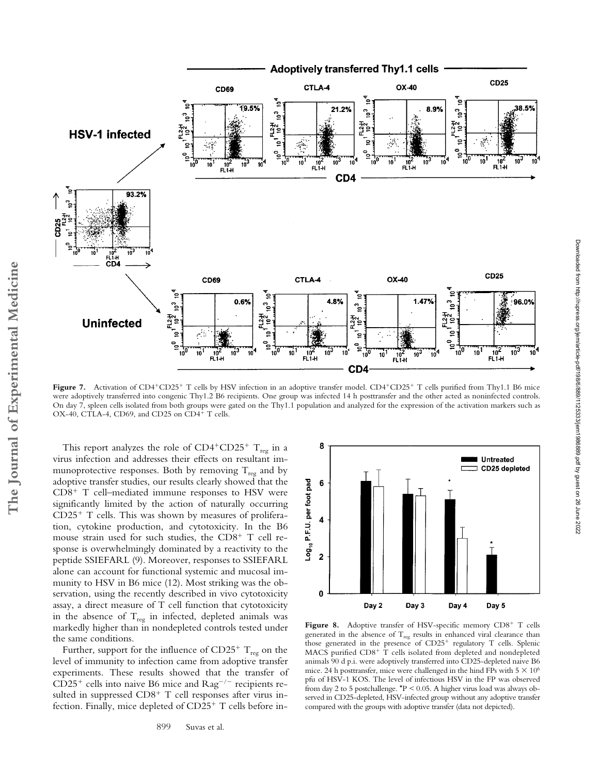

were adoptively transferred into congenic Thy1.2 B6 recipients. One group was infected 14 h posttransfer and the other acted as noninfected controls. On day 7, spleen cells isolated from both groups were gated on the Thy1.1 population and analyzed for the expression of the activation markers such as OX-40, CTLA-4, CD69, and CD25 on CD4<sup>+</sup> T cells.

This report analyzes the role of  $CD4+CD25+T_{reg}$  in a virus infection and addresses their effects on resultant immunoprotective responses. Both by removing  $T_{reg}$  and by adoptive transfer studies, our results clearly showed that the CD8<sup>+</sup> T cell-mediated immune responses to HSV were significantly limited by the action of naturally occurring CD25- T cells. This was shown by measures of proliferation, cytokine production, and cytotoxicity. In the B6 mouse strain used for such studies, the CD8<sup>+</sup> T cell response is overwhelmingly dominated by a reactivity to the peptide SSIEFARL (9). Moreover, responses to SSIEFARL alone can account for functional systemic and mucosal immunity to HSV in B6 mice (12). Most striking was the observation, using the recently described in vivo cytotoxicity assay, a direct measure of T cell function that cytotoxicity in the absence of  $T_{reg}$  in infected, depleted animals was markedly higher than in nondepleted controls tested under the same conditions.

Further, support for the influence of  $CD25^+$  T<sub>reg</sub> on the level of immunity to infection came from adoptive transfer experiments. These results showed that the transfer of  $CD25<sup>+</sup>$  cells into naive B6 mice and  $\text{Rag}^{-/-}$  recipients resulted in suppressed CD8<sup>+</sup> T cell responses after virus infection. Finally, mice depleted of CD25<sup>+</sup> T cells before in-



Figure 8. Adoptive transfer of HSV-specific memory CD8<sup>+</sup> T cells generated in the absence of  $T_{reg}$  results in enhanced viral clearance than those generated in the presence of CD25<sup>+</sup> regulatory T cells. Splenic MACS purified CD8<sup>+</sup> T cells isolated from depleted and nondepleted animals 90 d p.i. were adoptively transferred into CD25-depleted naive B6 mice. 24 h posttransfer, mice were challenged in the hind FPs with  $5 \times 10^6$ pfu of HSV-1 KOS. The level of infectious HSV in the FP was observed from day 2 to 5 postchallenge. \*P < 0.05. A higher virus load was always observed in CD25-depleted, HSV-infected group without any adoptive transfer compared with the groups with adoptive transfer (data not depicted).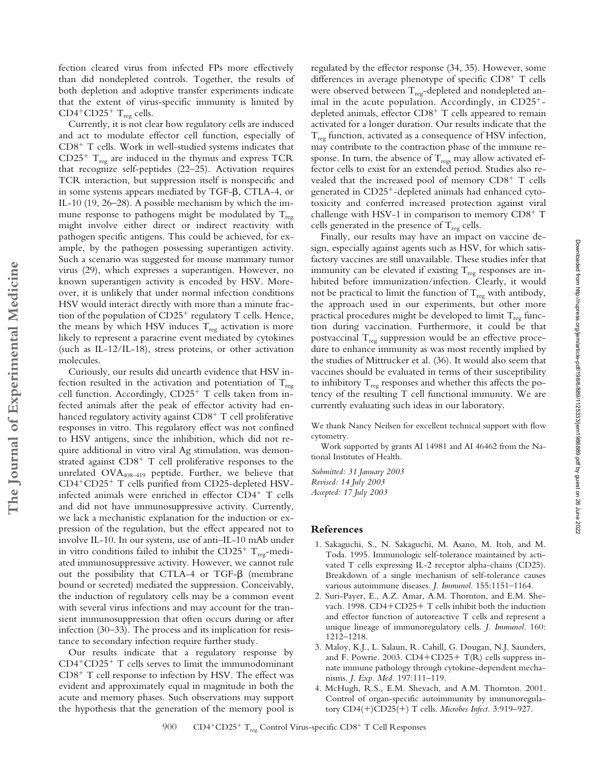fection cleared virus from infected FPs more effectively than did nondepleted controls. Together, the results of both depletion and adoptive transfer experiments indicate that the extent of virus-specific immunity is limited by  $CD4+CD25+T<sub>reg</sub>$  cells.

Currently, it is not clear how regulatory cells are induced and act to modulate effector cell function, especially of CD8<sup>+</sup> T cells. Work in well-studied systems indicates that  $CD25^+$   $T_{reg}$  are induced in the thymus and express TCR that recognize self-peptides (22–25). Activation requires TCR interaction, but suppression itself is nonspecific and in some systems appears mediated by TGF- $\beta$ , CTLA-4, or IL-10 (19, 26–28). A possible mechanism by which the immune response to pathogens might be modulated by  $T_{reg}$ might involve either direct or indirect reactivity with pathogen specific antigens. This could be achieved, for example, by the pathogen possessing superantigen activity. Such a scenario was suggested for mouse mammary tumor virus (29), which expresses a superantigen. However, no known superantigen activity is encoded by HSV. Moreover, it is unlikely that under normal infection conditions HSV would interact directly with more than a minute fraction of the population of CD25<sup>+</sup> regulatory T cells. Hence, the means by which HSV induces  $T_{reg}$  activation is more likely to represent a paracrine event mediated by cytokines (such as IL-12/IL-18), stress proteins, or other activation molecules.

Curiously, our results did unearth evidence that HSV infection resulted in the activation and potentiation of  $T_{\text{rec}}$ cell function. Accordingly, CD25<sup>+</sup> T cells taken from infected animals after the peak of effector activity had enhanced regulatory activity against  $CD8^+$  T cell proliferative responses in vitro. This regulatory effect was not confined to HSV antigens, since the inhibition, which did not require additional in vitro viral Ag stimulation, was demonstrated against CD8<sup>+</sup> T cell proliferative responses to the unrelated  $OVA_{408-419}$  peptide. Further, we believe that CD4-CD25- T cells purified from CD25-depleted HSVinfected animals were enriched in effector CD4- T cells and did not have immunosuppressive activity. Currently, we lack a mechanistic explanation for the induction or expression of the regulation, but the effect appeared not to involve IL-10. In our system, use of anti–IL-10 mAb under in vitro conditions failed to inhibit the  $CD25^+$  T<sub>reg</sub>-mediated immunosuppressive activity. However, we cannot rule out the possibility that CTLA-4 or TGF- $\beta$  (membrane bound or secreted) mediated the suppression. Conceivably, the induction of regulatory cells may be a common event with several virus infections and may account for the transient immunosuppression that often occurs during or after infection (30–33). The process and its implication for resistance to secondary infection require further study.

Our results indicate that a regulatory response by CD4-CD25- T cells serves to limit the immunodominant CD8<sup>+</sup> T cell response to infection by HSV. The effect was evident and approximately equal in magnitude in both the acute and memory phases. Such observations may support the hypothesis that the generation of the memory pool is regulated by the effector response (34, 35). However, some differences in average phenotype of specific CD8<sup>+</sup> T cells were observed between  $T_{reg}$ -depleted and nondepleted animal in the acute population. Accordingly, in CD25<sup>+</sup>depleted animals, effector CD8<sup>+</sup> T cells appeared to remain activated for a longer duration. Our results indicate that the  $T_{\text{reg}}$  function, activated as a consequence of HSV infection, may contribute to the contraction phase of the immune response. In turn, the absence of  $T_{\text{reg}}$  may allow activated effector cells to exist for an extended period. Studies also revealed that the increased pool of memory CD8<sup>+</sup> T cells generated in CD25--depleted animals had enhanced cytotoxicity and conferred increased protection against viral challenge with HSV-1 in comparison to memory CD8+ T cells generated in the presence of  $T_{reg}$  cells.

Finally, our results may have an impact on vaccine design, especially against agents such as HSV, for which satisfactory vaccines are still unavailable. These studies infer that immunity can be elevated if existing  $T_{reg}$  responses are inhibited before immunization/infection. Clearly, it would not be practical to limit the function of  $T_{reg}$  with antibody, the approach used in our experiments, but other more practical procedures might be developed to limit  $T_{reg}$  function during vaccination. Furthermore, it could be that postvaccinal  $T_{reg}$  suppression would be an effective procedure to enhance immunity as was most recently implied by the studies of Mittrucker et al. (36). It would also seem that vaccines should be evaluated in terms of their susceptibility to inhibitory  $T_{\text{reg}}$  responses and whether this affects the potency of the resulting T cell functional immunity. We are currently evaluating such ideas in our laboratory.

We thank Nancy Neilsen for excellent technical support with flow cytometry.

Downloaded from http://rupress.org/jem/article-pdf/198/6/869/1125333/jem1986889.pdf by guest on 26 June 2022 Downloaded from http://rupress.org/jem/article-pdf/198/6/889/1125333/jem1986889.pdf by guest on 26 June 2022

Work supported by grants AI 14981 and AI 46462 from the National Institutes of Health.

*Submitted: 31 January 2003 Revised: 14 July 2003 Accepted: 17 July 2003*

## **References**

- 1. Sakaguchi, S., N. Sakaguchi, M. Asano, M. Itoh, and M. Toda. 1995. Immunologic self-tolerance maintained by activated T cells expressing IL-2 receptor alpha-chains (CD25). Breakdown of a single mechanism of self-tolerance causes various autoimmune diseases. *J. Immunol.* 155:1151–1164.
- 2. Suri-Payer, E., A.Z. Amar, A.M. Thornton, and E.M. Shevach. 1998. CD4+CD25+ T cells inhibit both the induction and effector function of autoreactive T cells and represent a unique lineage of immunoregulatory cells. *J. Immunol.* 160: 1212–1218.
- 3. Maloy, K.J., L. Salaun, R. Cahill, G. Dougan, N.J. Saunders, and F. Powrie. 2003. CD4+CD25+ T(R) cells suppress innate immune pathology through cytokine-dependent mechanisms. *J. Exp. Med.* 197:111–119.
- 4. McHugh, R.S., E.M. Shevach, and A.M. Thornton. 2001. Control of organ-specific autoimmunity by immunoregulatory CD4(-)CD25(-) T cells. *Microbes Infect.* 3:919–927.